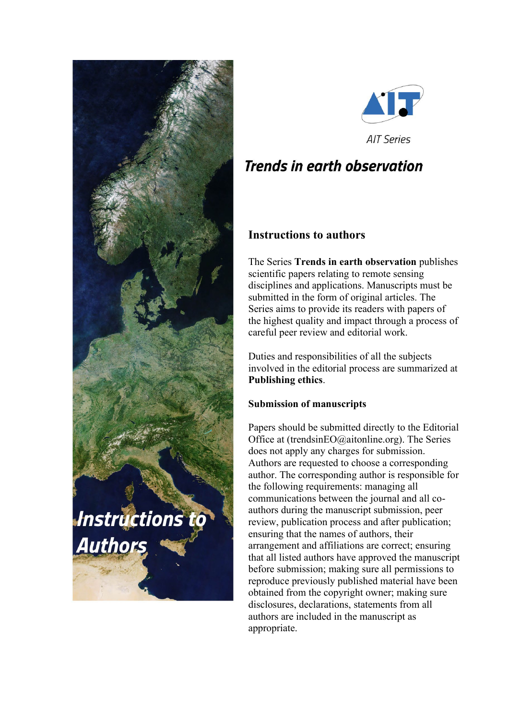



**Trends in earth observation** 

# **Instructions to authors**

The Series **Trends in earth observation** publishes scientific papers relating to remote sensing disciplines and applications. Manuscripts must be submitted in the form of original articles. The Series aims to provide its readers with papers of the highest quality and impact through a process of careful peer review and editorial work.

Duties and responsibilities of all the subjects involved in the editorial process are summarized at **Publishing ethics**.

## **Submission of manuscripts**

Papers should be submitted directly to the Editorial Office at (trendsinEO@aitonline.org). The Series does not apply any charges for submission. Authors are requested to choose a corresponding author. The corresponding author is responsible for the following requirements: managing all communications between the journal and all coauthors during the manuscript submission, peer review, publication process and after publication; ensuring that the names of authors, their arrangement and affiliations are correct; ensuring that all listed authors have approved the manuscript before submission; making sure all permissions to reproduce previously published material have been obtained from the copyright owner; making sure disclosures, declarations, statements from all authors are included in the manuscript as appropriate.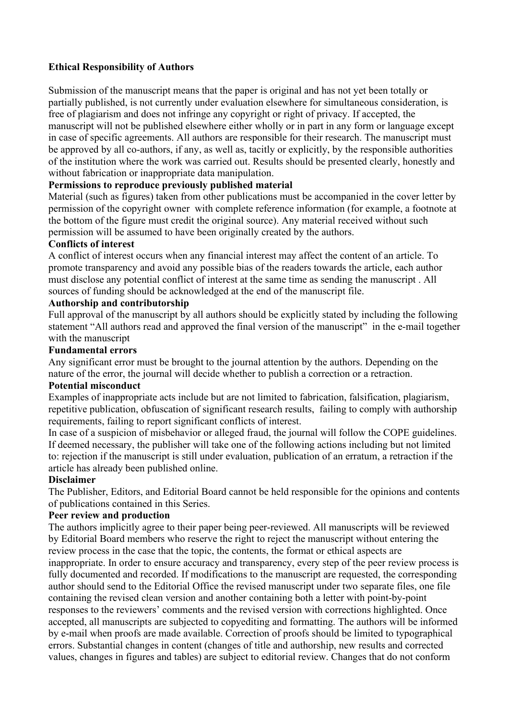## **Ethical Responsibility of Authors**

Submission of the manuscript means that the paper is original and has not yet been totally or partially published, is not currently under evaluation elsewhere for simultaneous consideration, is free of plagiarism and does not infringe any copyright or right of privacy. If accepted, the manuscript will not be published elsewhere either wholly or in part in any form or language except in case of specific agreements. All authors are responsible for their research. The manuscript must be approved by all co-authors, if any, as well as, tacitly or explicitly, by the responsible authorities of the institution where the work was carried out. Results should be presented clearly, honestly and without fabrication or inappropriate data manipulation.

#### **Permissions to reproduce previously published material**

Material (such as figures) taken from other publications must be accompanied in the cover letter by permission of the copyright owner with complete reference information (for example, a footnote at the bottom of the figure must credit the original source). Any material received without such permission will be assumed to have been originally created by the authors.

## **Conflicts of interest**

A conflict of interest occurs when any financial interest may affect the content of an article. To promote transparency and avoid any possible bias of the readers towards the article, each author must disclose any potential conflict of interest at the same time as sending the manuscript . All sources of funding should be acknowledged at the end of the manuscript file.

#### **Authorship and contributorship**

Full approval of the manuscript by all authors should be explicitly stated by including the following statement "All authors read and approved the final version of the manuscript" in the e-mail together with the manuscript

#### **Fundamental errors**

Any significant error must be brought to the journal attention by the authors. Depending on the nature of the error, the journal will decide whether to publish a correction or a retraction.

#### **Potential misconduct**

Examples of inappropriate acts include but are not limited to fabrication, falsification, plagiarism, repetitive publication, obfuscation of significant research results, failing to comply with authorship requirements, failing to report significant conflicts of interest.

In case of a suspicion of misbehavior or alleged fraud, the journal will follow the COPE guidelines. If deemed necessary, the publisher will take one of the following actions including but not limited to: rejection if the manuscript is still under evaluation, publication of an erratum, a retraction if the article has already been published online.

#### **Disclaimer**

The Publisher, Editors, and Editorial Board cannot be held responsible for the opinions and contents of publications contained in this Series.

#### **Peer review and production**

The authors implicitly agree to their paper being peer-reviewed. All manuscripts will be reviewed by Editorial Board members who reserve the right to reject the manuscript without entering the review process in the case that the topic, the contents, the format or ethical aspects are inappropriate. In order to ensure accuracy and transparency, every step of the peer review process is fully documented and recorded. If modifications to the manuscript are requested, the corresponding author should send to the Editorial Office the revised manuscript under two separate files, one file containing the revised clean version and another containing both a letter with point-by-point responses to the reviewers' comments and the revised version with corrections highlighted. Once accepted, all manuscripts are subjected to copyediting and formatting. The authors will be informed by e-mail when proofs are made available. Correction of proofs should be limited to typographical errors. Substantial changes in content (changes of title and authorship, new results and corrected values, changes in figures and tables) are subject to editorial review. Changes that do not conform